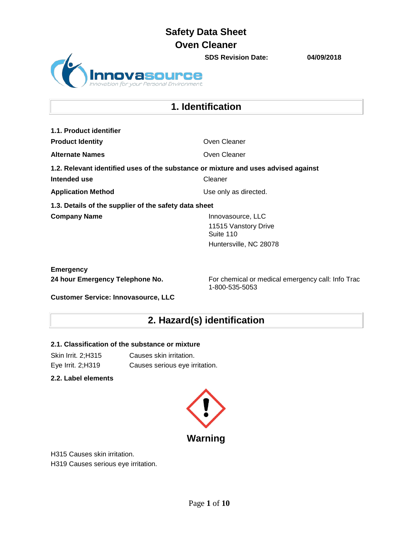**SDS Revision Date: 04/09/2018** Personal Environment

## **1. Identification**

**1.1. Product identifier Product Identity Concrete Cleaner** Oven Cleaner **Alternate Names Oven Cleaner 1.2. Relevant identified uses of the substance or mixture and uses advised against Intended use** Cleaner **Application Method** Use only as directed. **1.3. Details of the supplier of the safety data sheet Company Name Innovasource, LLC** 11515 Vanstory Drive Suite 110 Huntersville, NC 28078

**Emergency**

24 hour Emergency Telephone No. **For chemical or medical emergency call:** Info Trac 1-800-535-5053

**Customer Service: Innovasource, LLC**

# **2. Hazard(s) identification**

### **2.1. Classification of the substance or mixture**

Skin Irrit. 2;H315 Causes skin irritation. Eye Irrit. 2;H319 Causes serious eye irritation.

**2.2. Label elements**



H315 Causes skin irritation. H319 Causes serious eye irritation.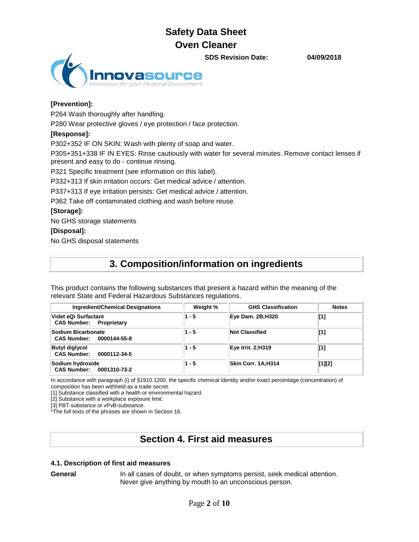**SDS Revision Date: 04/09/2018**



## **[Prevention]:**

P264 Wash thoroughly after handling.

P280 Wear protective gloves / eye protection / face protection.

### **[Response]:**

P302+352 IF ON SKIN: Wash with plenty of soap and water.

P305+351+338 IF IN EYES: Rinse cautiously with water for several minutes. Remove contact lenses if present and easy to do - continue rinsing.

P321 Specific treatment (see information on this label).

P332+313 If skin irritation occurs: Get medical advice / attention.

P337+313 If eye irritation persists: Get medical advice / attention.

P362 Take off contaminated clothing and wash before reuse.

#### **[Storage]:**

No GHS storage statements

#### **[Disposal]:**

No GHS disposal statements

## **3. Composition/information on ingredients**

This product contains the following substances that present a hazard within the meaning of the relevant State and Federal Hazardous Substances regulations.

| <b>Ingredient/Chemical Designations</b>                | Weight % | <b>GHS Classification</b> | <b>Notes</b> |
|--------------------------------------------------------|----------|---------------------------|--------------|
| Videt eQi Surfactant<br><b>CAS Number: Proprietary</b> | $1 - 5$  | Eye Dam. 2B;H320          | [1]          |
| Sodium Bicarbonate<br>CAS Number: 0000144-55-8         | $1 - 5$  | <b>Not Classified</b>     | [1]          |
| <b>Butyl diglycol</b><br>CAS Number: 0000112-34-5      | $1 - 5$  | Eye Irrit. 2;H319         | [1]          |
| Sodium hydroxide<br>CAS Number: 0001310-73-2           | $1 - 5$  | <b>Skin Corr. 1A:H314</b> | [1][2]       |

In accordance with paragraph (i) of §1910.1200, the specific chemical identity and/or exact percentage (concentration) of composition has been withheld as a trade secret.

[1] Substance classified with a health or environmental hazard.

[2] Substance with a workplace exposure limit.

[3] PBT-substance or vPvB-substance.

\*The full texts of the phrases are shown in Section 16.

# **Section 4. First aid measures**

### **4.1. Description of first aid measures**

**General** In all cases of doubt, or when symptoms persist, seek medical attention. Never give anything by mouth to an unconscious person.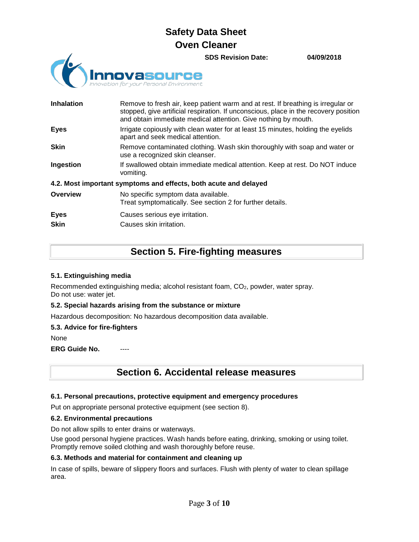**SDS Revision Date: 04/09/2018**



| <b>Inhalation</b>          | Remove to fresh air, keep patient warm and at rest. If breathing is irregular or<br>stopped, give artificial respiration. If unconscious, place in the recovery position<br>and obtain immediate medical attention. Give nothing by mouth. |
|----------------------------|--------------------------------------------------------------------------------------------------------------------------------------------------------------------------------------------------------------------------------------------|
| <b>Eyes</b>                | Irrigate copiously with clean water for at least 15 minutes, holding the eyelids<br>apart and seek medical attention.                                                                                                                      |
| <b>Skin</b>                | Remove contaminated clothing. Wash skin thoroughly with soap and water or<br>use a recognized skin cleanser.                                                                                                                               |
| Ingestion                  | If swallowed obtain immediate medical attention. Keep at rest. Do NOT induce<br>vomiting.                                                                                                                                                  |
|                            | 4.2. Most important symptoms and effects, both acute and delayed                                                                                                                                                                           |
| Overview                   | No specific symptom data available.<br>Treat symptomatically. See section 2 for further details.                                                                                                                                           |
| <b>Eyes</b><br><b>Skin</b> | Causes serious eye irritation.<br>Causes skin irritation.                                                                                                                                                                                  |

## **Section 5. Fire-fighting measures**

### **5.1. Extinguishing media**

Recommended extinguishing media; alcohol resistant foam, CO2, powder, water spray. Do not use: water jet.

### **5.2. Special hazards arising from the substance or mixture**

Hazardous decomposition: No hazardous decomposition data available.

### **5.3. Advice for fire-fighters**

None

**ERG Guide No.** 

## **Section 6. Accidental release measures**

### **6.1. Personal precautions, protective equipment and emergency procedures**

Put on appropriate personal protective equipment (see section 8).

### **6.2. Environmental precautions**

Do not allow spills to enter drains or waterways.

Use good personal hygiene practices. Wash hands before eating, drinking, smoking or using toilet. Promptly remove soiled clothing and wash thoroughly before reuse.

### **6.3. Methods and material for containment and cleaning up**

In case of spills, beware of slippery floors and surfaces. Flush with plenty of water to clean spillage area.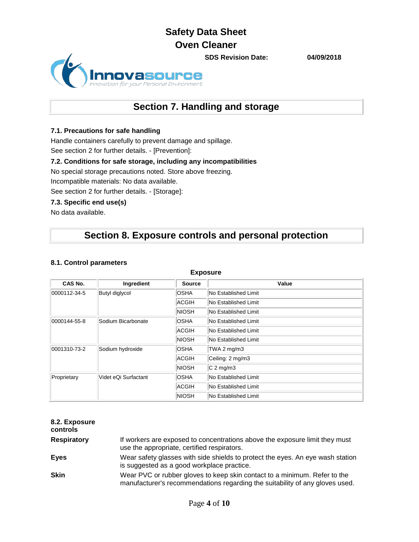

# **Section 7. Handling and storage**

### **7.1. Precautions for safe handling**

Handle containers carefully to prevent damage and spillage. See section 2 for further details. - [Prevention]:

### **7.2. Conditions for safe storage, including any incompatibilities**

No special storage precautions noted. Store above freezing.

Incompatible materials: No data available.

See section 2 for further details. - [Storage]:

#### **7.3. Specific end use(s)**

No data available.

## **Section 8. Exposure controls and personal protection**

#### **8.1. Control parameters**

| CAS No.                          | Ingredient           | <b>Source</b>        | Value                |
|----------------------------------|----------------------|----------------------|----------------------|
| 0000112-34-5                     | Butyl diglycol       | <b>OSHA</b>          | No Established Limit |
|                                  |                      | ACGIH                | No Established Limit |
|                                  |                      | <b>NIOSH</b>         | No Established Limit |
| 0000144-55-8                     | Sodium Bicarbonate   | <b>OSHA</b>          | No Established Limit |
|                                  | ACGIH                | No Established Limit |                      |
|                                  |                      | NIOSH                | No Established Limit |
| Sodium hydroxide<br>0001310-73-2 |                      | <b>OSHA</b>          | TWA 2 $mg/m3$        |
|                                  | ACGIH                | Ceiling: 2 mg/m3     |                      |
|                                  |                      | NIOSH                | $C2$ mg/m3           |
| Proprietary                      | Videt eQi Surfactant | <b>OSHA</b>          | No Established Limit |
|                                  |                      | ACGIH                | No Established Limit |
|                                  |                      | <b>NIOSH</b>         | No Established Limit |

#### **Exposure**

| 8.2. Exposure<br>controls |                                                                                                                                                           |
|---------------------------|-----------------------------------------------------------------------------------------------------------------------------------------------------------|
| <b>Respiratory</b>        | If workers are exposed to concentrations above the exposure limit they must<br>use the appropriate, certified respirators.                                |
| Eyes                      | Wear safety glasses with side shields to protect the eyes. An eye wash station<br>is suggested as a good workplace practice.                              |
| <b>Skin</b>               | Wear PVC or rubber gloves to keep skin contact to a minimum. Refer to the<br>manufacturer's recommendations regarding the suitability of any gloves used. |

**SDS Revision Date: 04/09/2018**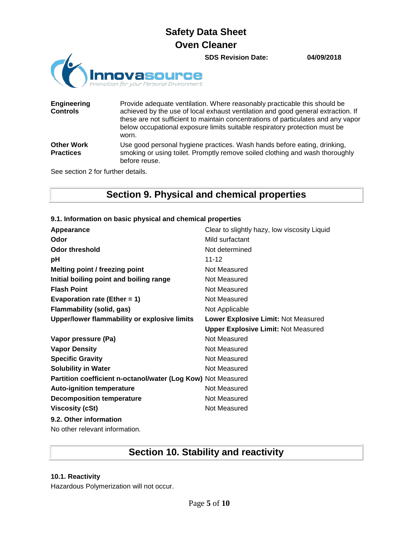**SDS Revision Date: 04/09/2018**



| <b>Engineering</b><br><b>Controls</b> | Provide adequate ventilation. Where reasonably practicable this should be<br>achieved by the use of local exhaust ventilation and good general extraction. If<br>these are not sufficient to maintain concentrations of particulates and any vapor<br>below occupational exposure limits suitable respiratory protection must be<br>worn. |
|---------------------------------------|-------------------------------------------------------------------------------------------------------------------------------------------------------------------------------------------------------------------------------------------------------------------------------------------------------------------------------------------|
| <b>Other Work</b><br><b>Practices</b> | Use good personal hygiene practices. Wash hands before eating, drinking,<br>smoking or using toilet. Promptly remove soiled clothing and wash thoroughly<br>before reuse.                                                                                                                                                                 |

See section 2 for further details.

# **Section 9. Physical and chemical properties**

### **9.1. Information on basic physical and chemical properties**

| Appearance                                                   | Clear to slightly hazy, low viscosity Liquid |
|--------------------------------------------------------------|----------------------------------------------|
| Odor                                                         | Mild surfactant                              |
| <b>Odor threshold</b>                                        | Not determined                               |
| рH                                                           | $11 - 12$                                    |
| Melting point / freezing point                               | Not Measured                                 |
| Initial boiling point and boiling range                      | Not Measured                                 |
| <b>Flash Point</b>                                           | Not Measured                                 |
| Evaporation rate (Ether = 1)                                 | Not Measured                                 |
| Flammability (solid, gas)                                    | Not Applicable                               |
| Upper/lower flammability or explosive limits                 | Lower Explosive Limit: Not Measured          |
|                                                              | <b>Upper Explosive Limit: Not Measured</b>   |
| Vapor pressure (Pa)                                          | Not Measured                                 |
| <b>Vapor Density</b>                                         | Not Measured                                 |
| <b>Specific Gravity</b>                                      | Not Measured                                 |
| <b>Solubility in Water</b>                                   | Not Measured                                 |
| Partition coefficient n-octanol/water (Log Kow) Not Measured |                                              |
| <b>Auto-ignition temperature</b>                             | Not Measured                                 |
| <b>Decomposition temperature</b>                             | Not Measured                                 |
| <b>Viscosity (cSt)</b>                                       | Not Measured                                 |
| 9.2. Other information                                       |                                              |
| No other relevant information.                               |                                              |

# **Section 10. Stability and reactivity**

### **10.1. Reactivity**

Hazardous Polymerization will not occur.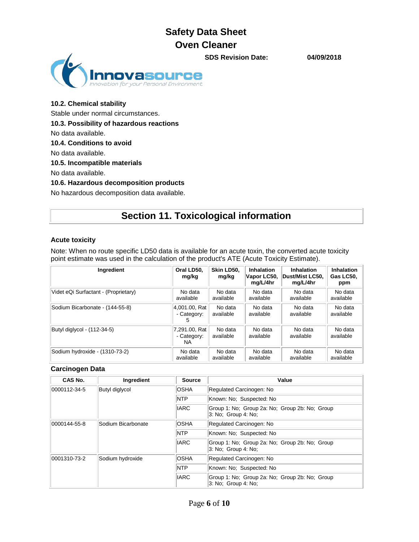**SDS Revision Date: 04/09/2018**



# **10.2. Chemical stability** Stable under normal circumstances.

**10.3. Possibility of hazardous reactions**

No data available.

**10.4. Conditions to avoid**

No data available.

#### **10.5. Incompatible materials**

No data available.

#### **10.6. Hazardous decomposition products**

No hazardous decomposition data available.

# **Section 11. Toxicological information**

#### **Acute toxicity**

Note: When no route specific LD50 data is available for an acute toxin, the converted acute toxicity point estimate was used in the calculation of the product's ATE (Acute Toxicity Estimate).

| Ingredient                           | Oral LD50,<br>mg/kg                 | Skin LD50,<br>mg/kg  | Inhalation<br>Vapor LC50,<br>mg/L/4hr | <b>Inhalation</b><br>Dust/Mist LC50.<br>mg/L/4hr | Inhalation<br>Gas LC50.<br>ppm |
|--------------------------------------|-------------------------------------|----------------------|---------------------------------------|--------------------------------------------------|--------------------------------|
| Videt eQi Surfactant - (Proprietary) | No data                             | No data              | No data                               | No data                                          | No data                        |
|                                      | available                           | available            | available                             | available                                        | available                      |
| Sodium Bicarbonate - (144-55-8)      | 4,001.00, Rat                       | No data              | No data                               | No data                                          | No data                        |
|                                      | - Category:                         | available            | available                             | available                                        | available                      |
| Butyl diglycol - (112-34-5)          | 7.291.00, Rat<br>- Category:<br>NA. | No data<br>available | No data<br>available                  | No data<br>available                             | No data<br>available           |
| Sodium hydroxide - (1310-73-2)       | No data                             | No data              | No data                               | No data                                          | No data                        |
|                                      | available                           | available            | available                             | available                                        | available                      |

### **Carcinogen Data**

| CAS No.      | Ingredient         | <b>Source</b> | Value                                                                 |
|--------------|--------------------|---------------|-----------------------------------------------------------------------|
| 0000112-34-5 | Butyl diglycol     | <b>OSHA</b>   | Regulated Carcinogen: No                                              |
|              |                    | <b>NTP</b>    | Known: No: Suspected: No                                              |
|              |                    | <b>IARC</b>   | Group 1: No; Group 2a: No; Group 2b: No; Group<br>3: No: Group 4: No: |
| 0000144-55-8 | Sodium Bicarbonate | <b>OSHA</b>   | Regulated Carcinogen: No                                              |
|              |                    | <b>NTP</b>    | Known: No: Suspected: No                                              |
|              |                    | <b>IARC</b>   | Group 1: No: Group 2a: No: Group 2b: No: Group<br>3: No: Group 4: No: |
| 0001310-73-2 | Sodium hydroxide   | <b>OSHA</b>   | Regulated Carcinogen: No                                              |
|              |                    | <b>NTP</b>    | Known: No: Suspected: No                                              |
|              |                    | <b>IARC</b>   | Group 1: No; Group 2a: No; Group 2b: No; Group<br>3: No: Group 4: No: |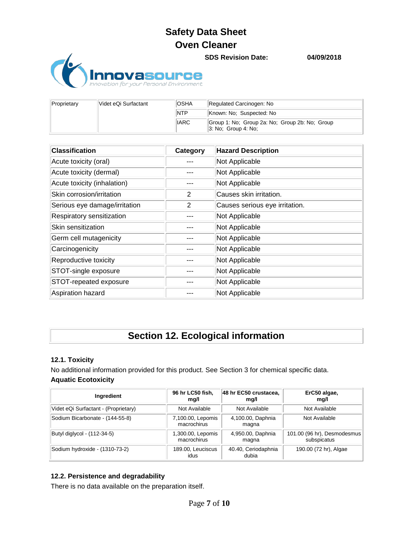**asourCe** 

**SDS Revision Date: 04/09/2018**

| Videt eQi Surfactant<br>Proprietary | OSHA | Regulated Carcinogen: No                                                 |                          |
|-------------------------------------|------|--------------------------------------------------------------------------|--------------------------|
|                                     |      | <b>INTP</b>                                                              | Known: No: Suspected: No |
|                                     | IARC | Group 1: No: Group 2a: No: Group 2b: No: Group<br>$ 3:$ No: Group 4: No: |                          |

| <b>Classification</b>         | Category | <b>Hazard Description</b>      |
|-------------------------------|----------|--------------------------------|
| Acute toxicity (oral)         |          | Not Applicable                 |
| Acute toxicity (dermal)       |          | Not Applicable                 |
| Acute toxicity (inhalation)   |          | Not Applicable                 |
| Skin corrosion/irritation     | 2        | Causes skin irritation.        |
| Serious eye damage/irritation | 2        | Causes serious eye irritation. |
| Respiratory sensitization     |          | Not Applicable                 |
| Skin sensitization            |          | Not Applicable                 |
| Germ cell mutagenicity        |          | Not Applicable                 |
| Carcinogenicity               |          | Not Applicable                 |
| Reproductive toxicity         |          | Not Applicable                 |
| STOT-single exposure          |          | Not Applicable                 |
| STOT-repeated exposure        |          | Not Applicable                 |
| Aspiration hazard             |          | Not Applicable                 |

# **Section 12. Ecological information**

### **12.1. Toxicity**

No additional information provided for this product. See Section 3 for chemical specific data. **Aquatic Ecotoxicity**

| Ingredient                           | 96 hr LC50 fish,<br>mg/l         | 48 hr EC50 crustacea,<br>ma/l | ErC50 algae,<br>mg/l                       |
|--------------------------------------|----------------------------------|-------------------------------|--------------------------------------------|
| Videt eQi Surfactant - (Proprietary) | Not Available                    | Not Available                 | Not Available                              |
| Sodium Bicarbonate - (144-55-8)      | 7,100.00, Lepomis<br>macrochirus | 4,100.00, Daphnia<br>magna    | Not Available                              |
| Butyl diglycol - (112-34-5)          | 1,300.00, Lepomis<br>macrochirus | 4,950.00, Daphnia<br>magna    | 101.00 (96 hr), Desmodesmus<br>subspicatus |
| Sodium hydroxide - (1310-73-2)       | 189.00, Leuciscus<br>idus        | 40.40, Ceriodaphnia<br>dubia  | 190.00 (72 hr), Algae                      |

### **12.2. Persistence and degradability**

There is no data available on the preparation itself.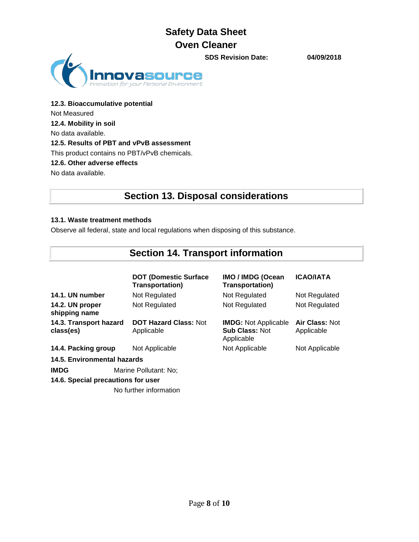**SDS Revision Date: 04/09/2018**



**12.3. Bioaccumulative potential** Not Measured **12.4. Mobility in soil** No data available. **12.5. Results of PBT and vPvB assessment** This product contains no PBT/vPvB chemicals. **12.6. Other adverse effects** No data available.

## **Section 13. Disposal considerations**

### **13.1. Waste treatment methods**

Observe all federal, state and local regulations when disposing of this substance.

# **Section 14. Transport information**

|                                     | <b>DOT (Domestic Surface)</b><br><b>Transportation)</b> | <b>IMO / IMDG (Ocean</b><br><b>Transportation)</b>                 | <b>ICAO/IATA</b>             |
|-------------------------------------|---------------------------------------------------------|--------------------------------------------------------------------|------------------------------|
| 14.1. UN number                     | Not Regulated                                           | Not Regulated                                                      | Not Regulated                |
| 14.2. UN proper<br>shipping name    | Not Regulated                                           | Not Regulated                                                      |                              |
| 14.3. Transport hazard<br>class(es) | <b>DOT Hazard Class: Not</b><br>Applicable              | <b>IMDG: Not Applicable</b><br><b>Sub Class: Not</b><br>Applicable | Air Class: Not<br>Applicable |
| 14.4. Packing group                 | Not Applicable                                          | Not Applicable                                                     | Not Applicable               |
| <b>14.5. Environmental hazards</b>  |                                                         |                                                                    |                              |
| <b>IMDG</b>                         | Marine Pollutant: No;                                   |                                                                    |                              |
| 14.6. Special precautions for user  |                                                         |                                                                    |                              |
|                                     | No further information                                  |                                                                    |                              |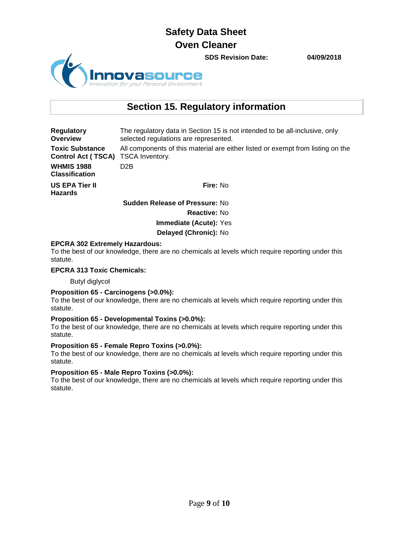

**SDS Revision Date: 04/09/2018**

## **Section 15. Regulatory information**

**Regulatory Overview** The regulatory data in Section 15 is not intended to be all-inclusive, only selected regulations are represented. **Toxic Substance Control Act ( TSCA)** TSCA Inventory. All components of this material are either listed or exempt from listing on the **WHMIS 1988 Classification** D2B **US EPA Tier II Hazards Fire:** No **Sudden Release of Pressure:** No

> **Reactive:** No **Immediate (Acute):** Yes

**Delayed (Chronic):** No

#### **EPCRA 302 Extremely Hazardous:**

To the best of our knowledge, there are no chemicals at levels which require reporting under this statute.

#### **EPCRA 313 Toxic Chemicals:**

Butyl diglycol

#### **Proposition 65 - Carcinogens (>0.0%):**

To the best of our knowledge, there are no chemicals at levels which require reporting under this statute.

#### **Proposition 65 - Developmental Toxins (>0.0%):**

To the best of our knowledge, there are no chemicals at levels which require reporting under this statute.

#### **Proposition 65 - Female Repro Toxins (>0.0%):**

To the best of our knowledge, there are no chemicals at levels which require reporting under this statute.

#### **Proposition 65 - Male Repro Toxins (>0.0%):**

To the best of our knowledge, there are no chemicals at levels which require reporting under this statute.